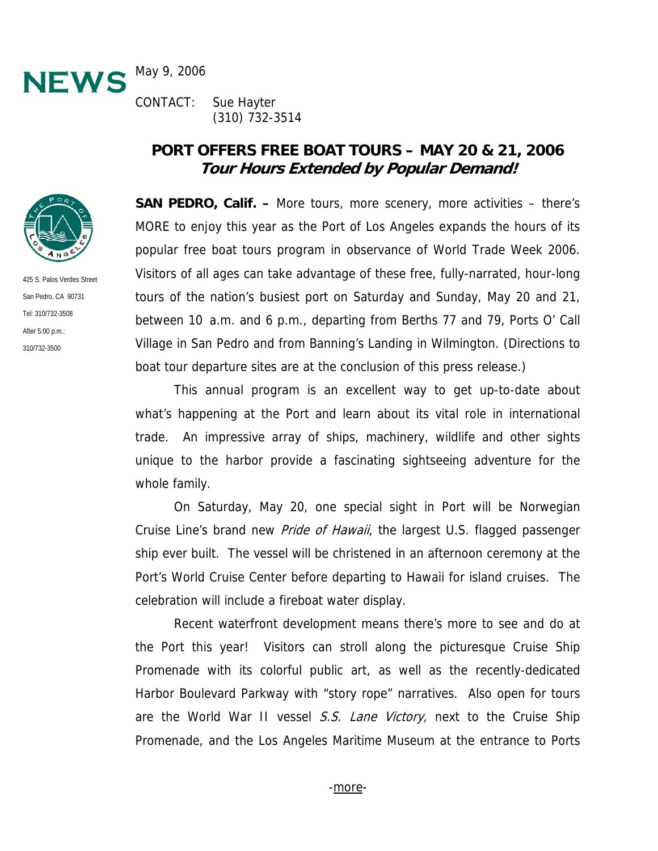

CONTACT: Sue Hayter (310) 732-3514

# **PORT OFFERS FREE BOAT TOURS – MAY 20 & 21, 2006 Tour Hours Extended by Popular Demand!**

**SAN PEDRO, Calif. –** More tours, more scenery, more activities – there's MORE to enjoy this year as the Port of Los Angeles expands the hours of its popular free boat tours program in observance of World Trade Week 2006. Visitors of all ages can take advantage of these free, fully-narrated, hour-long tours of the nation's busiest port on Saturday and Sunday, May 20 and 21, between 10 a.m. and 6 p.m., departing from Berths 77 and 79, Ports O' Call Village in San Pedro and from Banning's Landing in Wilmington. (Directions to boat tour departure sites are at the conclusion of this press release.)

This annual program is an excellent way to get up-to-date about what's happening at the Port and learn about its vital role in international trade. An impressive array of ships, machinery, wildlife and other sights unique to the harbor provide a fascinating sightseeing adventure for the whole family.

On Saturday, May 20, one special sight in Port will be Norwegian Cruise Line's brand new *Pride of Hawaii*, the largest U.S. flagged passenger ship ever built. The vessel will be christened in an afternoon ceremony at the Port's World Cruise Center before departing to Hawaii for island cruises. The celebration will include a fireboat water display.

Recent waterfront development means there's more to see and do at the Port this year! Visitors can stroll along the picturesque Cruise Ship Promenade with its colorful public art, as well as the recently-dedicated Harbor Boulevard Parkway with "story rope" narratives. Also open for tours are the World War II vessel S.S. Lane Victory, next to the Cruise Ship Promenade, and the Los Angeles Maritime Museum at the entrance to Ports



San Pedro, CA 90731 Tel: 310/732-3508 After 5:00 p.m.: 310/732-3500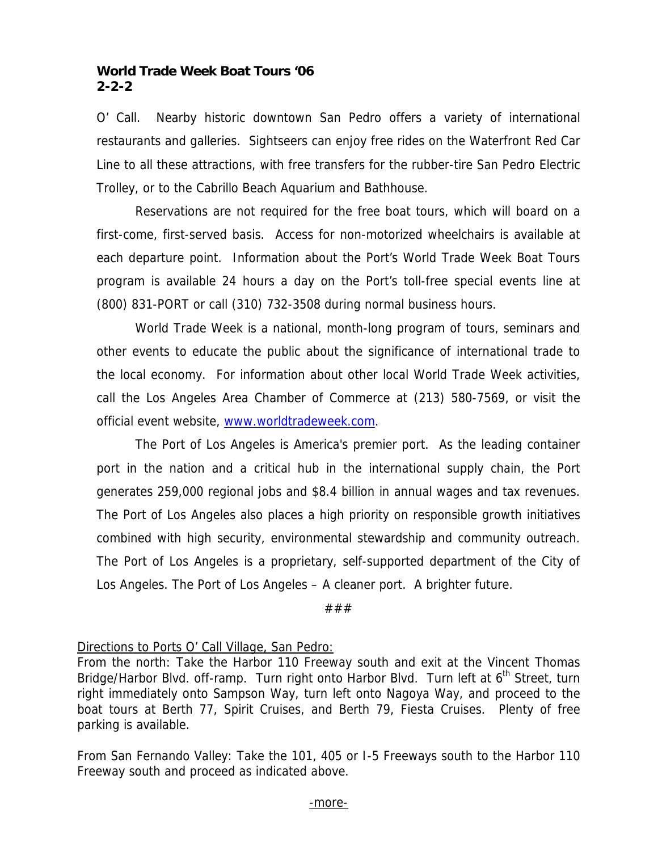### **World Trade Week Boat Tours '06 2-2-2**

O' Call. Nearby historic downtown San Pedro offers a variety of international restaurants and galleries. Sightseers can enjoy free rides on the Waterfront Red Car Line to all these attractions, with free transfers for the rubber-tire San Pedro Electric Trolley, or to the Cabrillo Beach Aquarium and Bathhouse.

Reservations are not required for the free boat tours, which will board on a first-come, first-served basis. Access for non-motorized wheelchairs is available at each departure point. Information about the Port's World Trade Week Boat Tours program is available 24 hours a day on the Port's toll-free special events line at (800) 831-PORT or call (310) 732-3508 during normal business hours.

World Trade Week is a national, month-long program of tours, seminars and other events to educate the public about the significance of international trade to the local economy. For information about other local World Trade Week activities, call the Los Angeles Area Chamber of Commerce at (213) 580-7569, or visit the official event website, www.worldtradeweek.com.

The Port of Los Angeles is America's premier port. As the leading container port in the nation and a critical hub in the international supply chain, the Port generates 259,000 regional jobs and \$8.4 billion in annual wages and tax revenues. The Port of Los Angeles also places a high priority on responsible growth initiatives combined with high security, environmental stewardship and community outreach. The Port of Los Angeles is a proprietary, self-supported department of the City of Los Angeles. The Port of Los Angeles – A cleaner port. A brighter future.

###

# Directions to Ports O' Call Village, San Pedro:

From the north: Take the Harbor 110 Freeway south and exit at the Vincent Thomas Bridge/Harbor Blvd. off-ramp. Turn right onto Harbor Blvd. Turn left at 6<sup>th</sup> Street, turn right immediately onto Sampson Way, turn left onto Nagoya Way, and proceed to the boat tours at Berth 77, Spirit Cruises, and Berth 79, Fiesta Cruises. Plenty of free parking is available.

From San Fernando Valley: Take the 101, 405 or I-5 Freeways south to the Harbor 110 Freeway south and proceed as indicated above.

#### -more-